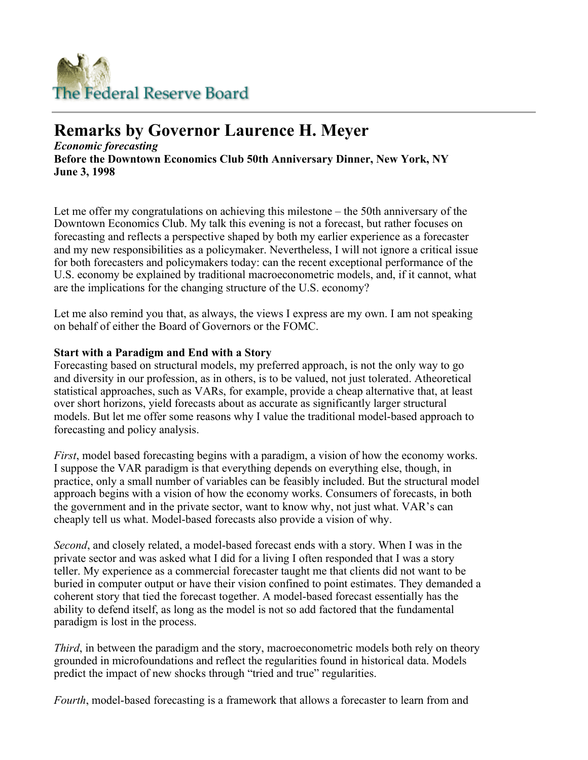

# **Remarks by Governor Laurence H. Meyer**

*Economic forecasting* **Before the Downtown Economics Club 50th Anniversary Dinner, New York, NY June 3, 1998** 

Let me offer my congratulations on achieving this milestone – the 50th anniversary of the Downtown Economics Club. My talk this evening is not a forecast, but rather focuses on forecasting and reflects a perspective shaped by both my earlier experience as a forecaster and my new responsibilities as a policymaker. Nevertheless, I will not ignore a critical issue for both forecasters and policymakers today: can the recent exceptional performance of the U.S. economy be explained by traditional macroeconometric models, and, if it cannot, what are the implications for the changing structure of the U.S. economy?

Let me also remind you that, as always, the views I express are my own. I am not speaking on behalf of either the Board of Governors or the FOMC.

# **Start with a Paradigm and End with a Story**

Forecasting based on structural models, my preferred approach, is not the only way to go and diversity in our profession, as in others, is to be valued, not just tolerated. Atheoretical statistical approaches, such as VARs, for example, provide a cheap alternative that, at least over short horizons, yield forecasts about as accurate as significantly larger structural models. But let me offer some reasons why I value the traditional model-based approach to forecasting and policy analysis.

*First*, model based forecasting begins with a paradigm, a vision of how the economy works. I suppose the VAR paradigm is that everything depends on everything else, though, in practice, only a small number of variables can be feasibly included. But the structural model approach begins with a vision of how the economy works. Consumers of forecasts, in both the government and in the private sector, want to know why, not just what. VAR's can cheaply tell us what. Model-based forecasts also provide a vision of why.

*Second*, and closely related, a model-based forecast ends with a story. When I was in the private sector and was asked what I did for a living I often responded that I was a story teller. My experience as a commercial forecaster taught me that clients did not want to be buried in computer output or have their vision confined to point estimates. They demanded a coherent story that tied the forecast together. A model-based forecast essentially has the ability to defend itself, as long as the model is not so add factored that the fundamental paradigm is lost in the process.

*Third*, in between the paradigm and the story, macroeconometric models both rely on theory grounded in microfoundations and reflect the regularities found in historical data. Models predict the impact of new shocks through "tried and true" regularities.

*Fourth*, model-based forecasting is a framework that allows a forecaster to learn from and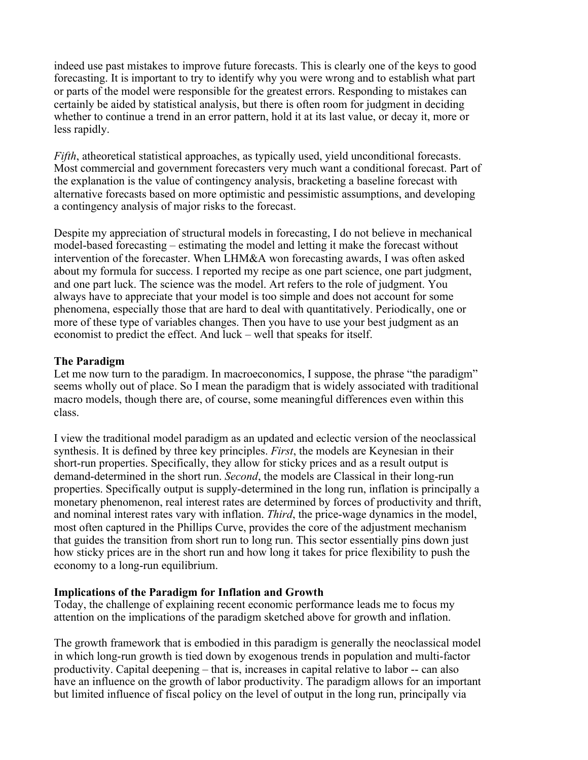indeed use past mistakes to improve future forecasts. This is clearly one of the keys to good forecasting. It is important to try to identify why you were wrong and to establish what part or parts of the model were responsible for the greatest errors. Responding to mistakes can certainly be aided by statistical analysis, but there is often room for judgment in deciding whether to continue a trend in an error pattern, hold it at its last value, or decay it, more or less rapidly.

*Fifth*, atheoretical statistical approaches, as typically used, yield unconditional forecasts. Most commercial and government forecasters very much want a conditional forecast. Part of the explanation is the value of contingency analysis, bracketing a baseline forecast with alternative forecasts based on more optimistic and pessimistic assumptions, and developing a contingency analysis of major risks to the forecast.

Despite my appreciation of structural models in forecasting, I do not believe in mechanical model-based forecasting – estimating the model and letting it make the forecast without intervention of the forecaster. When LHM&A won forecasting awards, I was often asked about my formula for success. I reported my recipe as one part science, one part judgment, and one part luck. The science was the model. Art refers to the role of judgment. You always have to appreciate that your model is too simple and does not account for some phenomena, especially those that are hard to deal with quantitatively. Periodically, one or more of these type of variables changes. Then you have to use your best judgment as an economist to predict the effect. And luck – well that speaks for itself.

# **The Paradigm**

Let me now turn to the paradigm. In macroeconomics, I suppose, the phrase "the paradigm" seems wholly out of place. So I mean the paradigm that is widely associated with traditional macro models, though there are, of course, some meaningful differences even within this class.

I view the traditional model paradigm as an updated and eclectic version of the neoclassical synthesis. It is defined by three key principles. *First*, the models are Keynesian in their short-run properties. Specifically, they allow for sticky prices and as a result output is demand-determined in the short run. *Second*, the models are Classical in their long-run properties. Specifically output is supply-determined in the long run, inflation is principally a monetary phenomenon, real interest rates are determined by forces of productivity and thrift, and nominal interest rates vary with inflation. *Third*, the price-wage dynamics in the model, most often captured in the Phillips Curve, provides the core of the adjustment mechanism that guides the transition from short run to long run. This sector essentially pins down just how sticky prices are in the short run and how long it takes for price flexibility to push the economy to a long-run equilibrium.

# **Implications of the Paradigm for Inflation and Growth**

Today, the challenge of explaining recent economic performance leads me to focus my attention on the implications of the paradigm sketched above for growth and inflation.

The growth framework that is embodied in this paradigm is generally the neoclassical model in which long-run growth is tied down by exogenous trends in population and multi-factor productivity. Capital deepening – that is, increases in capital relative to labor -- can also have an influence on the growth of labor productivity. The paradigm allows for an important but limited influence of fiscal policy on the level of output in the long run, principally via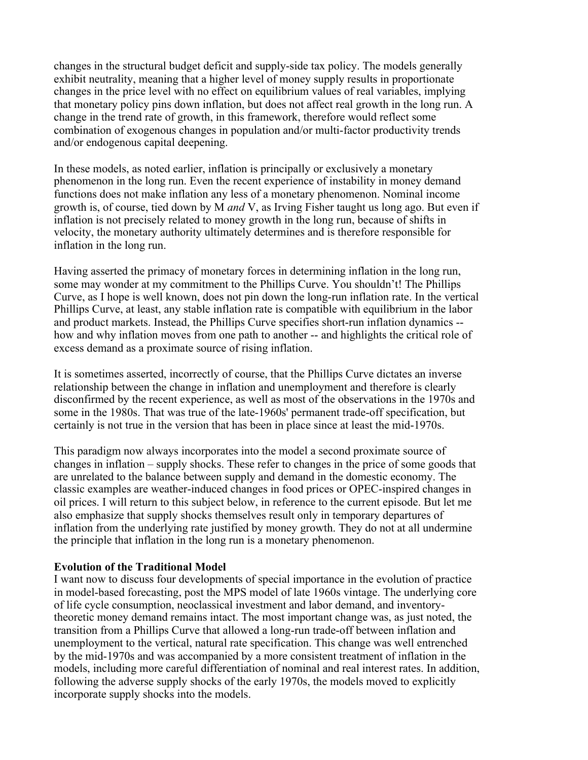changes in the structural budget deficit and supply-side tax policy. The models generally exhibit neutrality, meaning that a higher level of money supply results in proportionate changes in the price level with no effect on equilibrium values of real variables, implying that monetary policy pins down inflation, but does not affect real growth in the long run. A change in the trend rate of growth, in this framework, therefore would reflect some combination of exogenous changes in population and/or multi-factor productivity trends and/or endogenous capital deepening.

In these models, as noted earlier, inflation is principally or exclusively a monetary phenomenon in the long run. Even the recent experience of instability in money demand functions does not make inflation any less of a monetary phenomenon. Nominal income growth is, of course, tied down by M *and* V, as Irving Fisher taught us long ago. But even if inflation is not precisely related to money growth in the long run, because of shifts in velocity, the monetary authority ultimately determines and is therefore responsible for inflation in the long run.

Having asserted the primacy of monetary forces in determining inflation in the long run, some may wonder at my commitment to the Phillips Curve. You shouldn't! The Phillips Curve, as I hope is well known, does not pin down the long-run inflation rate. In the vertical Phillips Curve, at least, any stable inflation rate is compatible with equilibrium in the labor and product markets. Instead, the Phillips Curve specifies short-run inflation dynamics - how and why inflation moves from one path to another -- and highlights the critical role of excess demand as a proximate source of rising inflation.

It is sometimes asserted, incorrectly of course, that the Phillips Curve dictates an inverse relationship between the change in inflation and unemployment and therefore is clearly disconfirmed by the recent experience, as well as most of the observations in the 1970s and some in the 1980s. That was true of the late-1960s' permanent trade-off specification, but certainly is not true in the version that has been in place since at least the mid-1970s.

This paradigm now always incorporates into the model a second proximate source of changes in inflation – supply shocks. These refer to changes in the price of some goods that are unrelated to the balance between supply and demand in the domestic economy. The classic examples are weather-induced changes in food prices or OPEC-inspired changes in oil prices. I will return to this subject below, in reference to the current episode. But let me also emphasize that supply shocks themselves result only in temporary departures of inflation from the underlying rate justified by money growth. They do not at all undermine the principle that inflation in the long run is a monetary phenomenon.

#### **Evolution of the Traditional Model**

I want now to discuss four developments of special importance in the evolution of practice in model-based forecasting, post the MPS model of late 1960s vintage. The underlying core of life cycle consumption, neoclassical investment and labor demand, and inventorytheoretic money demand remains intact. The most important change was, as just noted, the transition from a Phillips Curve that allowed a long-run trade-off between inflation and unemployment to the vertical, natural rate specification. This change was well entrenched by the mid-1970s and was accompanied by a more consistent treatment of inflation in the models, including more careful differentiation of nominal and real interest rates. In addition, following the adverse supply shocks of the early 1970s, the models moved to explicitly incorporate supply shocks into the models.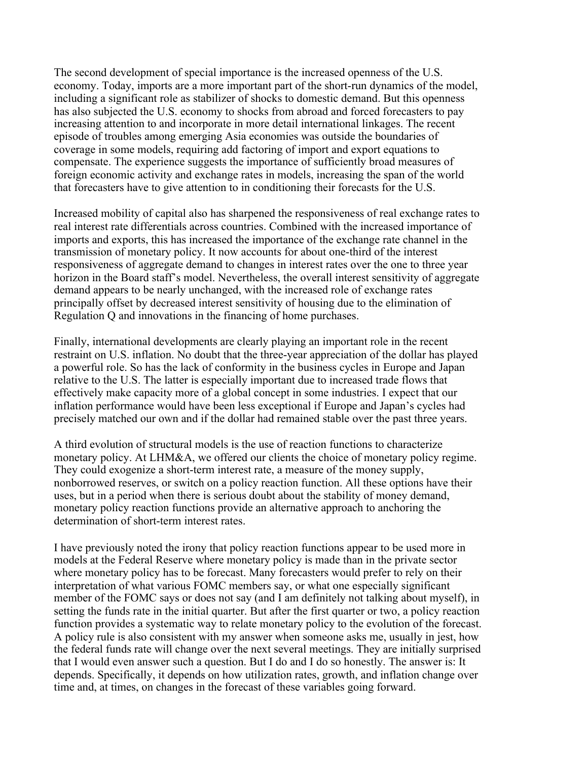The second development of special importance is the increased openness of the U.S. economy. Today, imports are a more important part of the short-run dynamics of the model, including a significant role as stabilizer of shocks to domestic demand. But this openness has also subjected the U.S. economy to shocks from abroad and forced forecasters to pay increasing attention to and incorporate in more detail international linkages. The recent episode of troubles among emerging Asia economies was outside the boundaries of coverage in some models, requiring add factoring of import and export equations to compensate. The experience suggests the importance of sufficiently broad measures of foreign economic activity and exchange rates in models, increasing the span of the world that forecasters have to give attention to in conditioning their forecasts for the U.S.

Increased mobility of capital also has sharpened the responsiveness of real exchange rates to real interest rate differentials across countries. Combined with the increased importance of imports and exports, this has increased the importance of the exchange rate channel in the transmission of monetary policy. It now accounts for about one-third of the interest responsiveness of aggregate demand to changes in interest rates over the one to three year horizon in the Board staff's model. Nevertheless, the overall interest sensitivity of aggregate demand appears to be nearly unchanged, with the increased role of exchange rates principally offset by decreased interest sensitivity of housing due to the elimination of Regulation Q and innovations in the financing of home purchases.

Finally, international developments are clearly playing an important role in the recent restraint on U.S. inflation. No doubt that the three-year appreciation of the dollar has played a powerful role. So has the lack of conformity in the business cycles in Europe and Japan relative to the U.S. The latter is especially important due to increased trade flows that effectively make capacity more of a global concept in some industries. I expect that our inflation performance would have been less exceptional if Europe and Japan's cycles had precisely matched our own and if the dollar had remained stable over the past three years.

A third evolution of structural models is the use of reaction functions to characterize monetary policy. At LHM&A, we offered our clients the choice of monetary policy regime. They could exogenize a short-term interest rate, a measure of the money supply, nonborrowed reserves, or switch on a policy reaction function. All these options have their uses, but in a period when there is serious doubt about the stability of money demand, monetary policy reaction functions provide an alternative approach to anchoring the determination of short-term interest rates.

I have previously noted the irony that policy reaction functions appear to be used more in models at the Federal Reserve where monetary policy is made than in the private sector where monetary policy has to be forecast. Many forecasters would prefer to rely on their interpretation of what various FOMC members say, or what one especially significant member of the FOMC says or does not say (and I am definitely not talking about myself), in setting the funds rate in the initial quarter. But after the first quarter or two, a policy reaction function provides a systematic way to relate monetary policy to the evolution of the forecast. A policy rule is also consistent with my answer when someone asks me, usually in jest, how the federal funds rate will change over the next several meetings. They are initially surprised that I would even answer such a question. But I do and I do so honestly. The answer is: It depends. Specifically, it depends on how utilization rates, growth, and inflation change over time and, at times, on changes in the forecast of these variables going forward.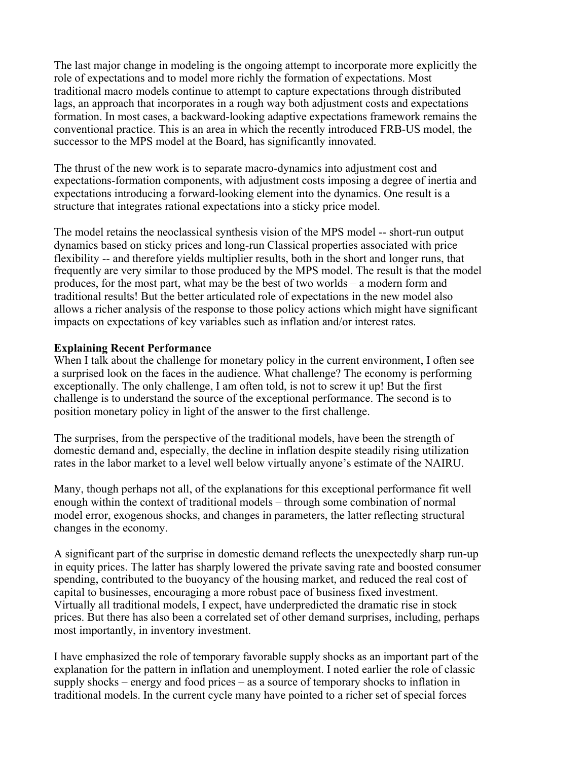The last major change in modeling is the ongoing attempt to incorporate more explicitly the role of expectations and to model more richly the formation of expectations. Most traditional macro models continue to attempt to capture expectations through distributed lags, an approach that incorporates in a rough way both adjustment costs and expectations formation. In most cases, a backward-looking adaptive expectations framework remains the conventional practice. This is an area in which the recently introduced FRB-US model, the successor to the MPS model at the Board, has significantly innovated.

The thrust of the new work is to separate macro-dynamics into adjustment cost and expectations-formation components, with adjustment costs imposing a degree of inertia and expectations introducing a forward-looking element into the dynamics. One result is a structure that integrates rational expectations into a sticky price model.

The model retains the neoclassical synthesis vision of the MPS model -- short-run output dynamics based on sticky prices and long-run Classical properties associated with price flexibility -- and therefore yields multiplier results, both in the short and longer runs, that frequently are very similar to those produced by the MPS model. The result is that the model produces, for the most part, what may be the best of two worlds – a modern form and traditional results! But the better articulated role of expectations in the new model also allows a richer analysis of the response to those policy actions which might have significant impacts on expectations of key variables such as inflation and/or interest rates.

# **Explaining Recent Performance**

When I talk about the challenge for monetary policy in the current environment, I often see a surprised look on the faces in the audience. What challenge? The economy is performing exceptionally. The only challenge, I am often told, is not to screw it up! But the first challenge is to understand the source of the exceptional performance. The second is to position monetary policy in light of the answer to the first challenge.

The surprises, from the perspective of the traditional models, have been the strength of domestic demand and, especially, the decline in inflation despite steadily rising utilization rates in the labor market to a level well below virtually anyone's estimate of the NAIRU.

Many, though perhaps not all, of the explanations for this exceptional performance fit well enough within the context of traditional models – through some combination of normal model error, exogenous shocks, and changes in parameters, the latter reflecting structural changes in the economy.

A significant part of the surprise in domestic demand reflects the unexpectedly sharp run-up in equity prices. The latter has sharply lowered the private saving rate and boosted consumer spending, contributed to the buoyancy of the housing market, and reduced the real cost of capital to businesses, encouraging a more robust pace of business fixed investment. Virtually all traditional models, I expect, have underpredicted the dramatic rise in stock prices. But there has also been a correlated set of other demand surprises, including, perhaps most importantly, in inventory investment.

I have emphasized the role of temporary favorable supply shocks as an important part of the explanation for the pattern in inflation and unemployment. I noted earlier the role of classic supply shocks – energy and food prices – as a source of temporary shocks to inflation in traditional models. In the current cycle many have pointed to a richer set of special forces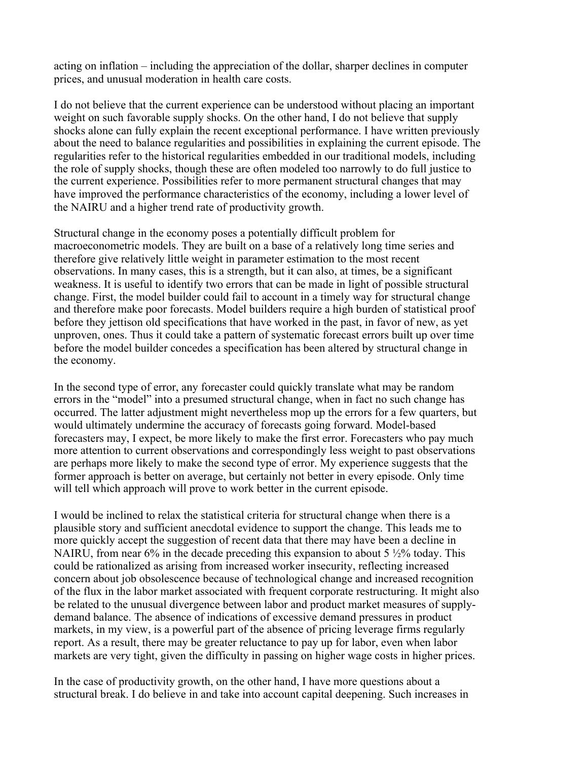acting on inflation – including the appreciation of the dollar, sharper declines in computer prices, and unusual moderation in health care costs.

I do not believe that the current experience can be understood without placing an important weight on such favorable supply shocks. On the other hand, I do not believe that supply shocks alone can fully explain the recent exceptional performance. I have written previously about the need to balance regularities and possibilities in explaining the current episode. The regularities refer to the historical regularities embedded in our traditional models, including the role of supply shocks, though these are often modeled too narrowly to do full justice to the current experience. Possibilities refer to more permanent structural changes that may have improved the performance characteristics of the economy, including a lower level of the NAIRU and a higher trend rate of productivity growth.

Structural change in the economy poses a potentially difficult problem for macroeconometric models. They are built on a base of a relatively long time series and therefore give relatively little weight in parameter estimation to the most recent observations. In many cases, this is a strength, but it can also, at times, be a significant weakness. It is useful to identify two errors that can be made in light of possible structural change. First, the model builder could fail to account in a timely way for structural change and therefore make poor forecasts. Model builders require a high burden of statistical proof before they jettison old specifications that have worked in the past, in favor of new, as yet unproven, ones. Thus it could take a pattern of systematic forecast errors built up over time before the model builder concedes a specification has been altered by structural change in the economy.

In the second type of error, any forecaster could quickly translate what may be random errors in the "model" into a presumed structural change, when in fact no such change has occurred. The latter adjustment might nevertheless mop up the errors for a few quarters, but would ultimately undermine the accuracy of forecasts going forward. Model-based forecasters may, I expect, be more likely to make the first error. Forecasters who pay much more attention to current observations and correspondingly less weight to past observations are perhaps more likely to make the second type of error. My experience suggests that the former approach is better on average, but certainly not better in every episode. Only time will tell which approach will prove to work better in the current episode.

I would be inclined to relax the statistical criteria for structural change when there is a plausible story and sufficient anecdotal evidence to support the change. This leads me to more quickly accept the suggestion of recent data that there may have been a decline in NAIRU, from near 6% in the decade preceding this expansion to about 5  $\frac{1}{2}\%$  today. This could be rationalized as arising from increased worker insecurity, reflecting increased concern about job obsolescence because of technological change and increased recognition of the flux in the labor market associated with frequent corporate restructuring. It might also be related to the unusual divergence between labor and product market measures of supplydemand balance. The absence of indications of excessive demand pressures in product markets, in my view, is a powerful part of the absence of pricing leverage firms regularly report. As a result, there may be greater reluctance to pay up for labor, even when labor markets are very tight, given the difficulty in passing on higher wage costs in higher prices.

In the case of productivity growth, on the other hand, I have more questions about a structural break. I do believe in and take into account capital deepening. Such increases in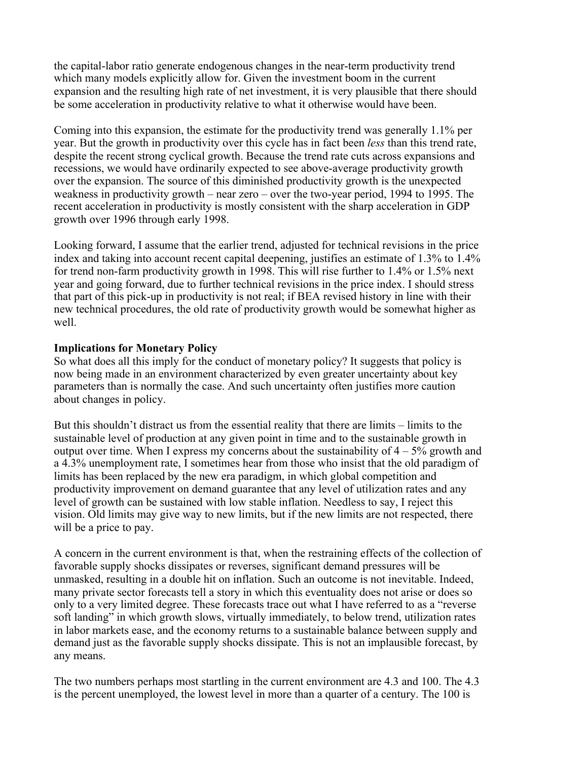the capital-labor ratio generate endogenous changes in the near-term productivity trend which many models explicitly allow for. Given the investment boom in the current expansion and the resulting high rate of net investment, it is very plausible that there should be some acceleration in productivity relative to what it otherwise would have been.

Coming into this expansion, the estimate for the productivity trend was generally 1.1% per year. But the growth in productivity over this cycle has in fact been *less* than this trend rate, despite the recent strong cyclical growth. Because the trend rate cuts across expansions and recessions, we would have ordinarily expected to see above-average productivity growth over the expansion. The source of this diminished productivity growth is the unexpected weakness in productivity growth – near zero – over the two-year period, 1994 to 1995. The recent acceleration in productivity is mostly consistent with the sharp acceleration in GDP growth over 1996 through early 1998.

Looking forward, I assume that the earlier trend, adjusted for technical revisions in the price index and taking into account recent capital deepening, justifies an estimate of 1.3% to 1.4% for trend non-farm productivity growth in 1998. This will rise further to 1.4% or 1.5% next year and going forward, due to further technical revisions in the price index. I should stress that part of this pick-up in productivity is not real; if BEA revised history in line with their new technical procedures, the old rate of productivity growth would be somewhat higher as well.

### **Implications for Monetary Policy**

So what does all this imply for the conduct of monetary policy? It suggests that policy is now being made in an environment characterized by even greater uncertainty about key parameters than is normally the case. And such uncertainty often justifies more caution about changes in policy.

But this shouldn't distract us from the essential reality that there are limits – limits to the sustainable level of production at any given point in time and to the sustainable growth in output over time. When I express my concerns about the sustainability of  $4 - 5\%$  growth and a 4.3% unemployment rate, I sometimes hear from those who insist that the old paradigm of limits has been replaced by the new era paradigm, in which global competition and productivity improvement on demand guarantee that any level of utilization rates and any level of growth can be sustained with low stable inflation. Needless to say, I reject this vision. Old limits may give way to new limits, but if the new limits are not respected, there will be a price to pay.

A concern in the current environment is that, when the restraining effects of the collection of favorable supply shocks dissipates or reverses, significant demand pressures will be unmasked, resulting in a double hit on inflation. Such an outcome is not inevitable. Indeed, many private sector forecasts tell a story in which this eventuality does not arise or does so only to a very limited degree. These forecasts trace out what I have referred to as a "reverse soft landing" in which growth slows, virtually immediately, to below trend, utilization rates in labor markets ease, and the economy returns to a sustainable balance between supply and demand just as the favorable supply shocks dissipate. This is not an implausible forecast, by any means.

The two numbers perhaps most startling in the current environment are 4.3 and 100. The 4.3 is the percent unemployed, the lowest level in more than a quarter of a century. The 100 is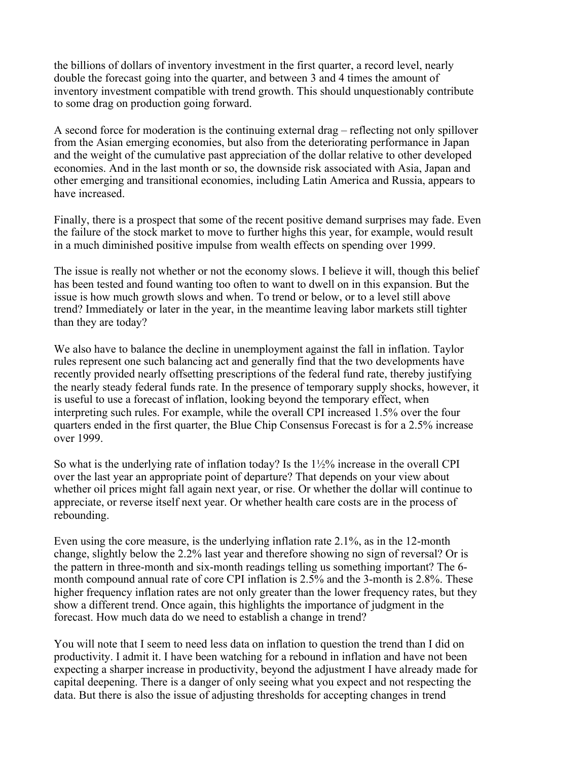the billions of dollars of inventory investment in the first quarter, a record level, nearly double the forecast going into the quarter, and between 3 and 4 times the amount of inventory investment compatible with trend growth. This should unquestionably contribute to some drag on production going forward.

A second force for moderation is the continuing external drag – reflecting not only spillover from the Asian emerging economies, but also from the deteriorating performance in Japan and the weight of the cumulative past appreciation of the dollar relative to other developed economies. And in the last month or so, the downside risk associated with Asia, Japan and other emerging and transitional economies, including Latin America and Russia, appears to have increased.

Finally, there is a prospect that some of the recent positive demand surprises may fade. Even the failure of the stock market to move to further highs this year, for example, would result in a much diminished positive impulse from wealth effects on spending over 1999.

The issue is really not whether or not the economy slows. I believe it will, though this belief has been tested and found wanting too often to want to dwell on in this expansion. But the issue is how much growth slows and when. To trend or below, or to a level still above trend? Immediately or later in the year, in the meantime leaving labor markets still tighter than they are today?

We also have to balance the decline in unemployment against the fall in inflation. Taylor rules represent one such balancing act and generally find that the two developments have recently provided nearly offsetting prescriptions of the federal fund rate, thereby justifying the nearly steady federal funds rate. In the presence of temporary supply shocks, however, it is useful to use a forecast of inflation, looking beyond the temporary effect, when interpreting such rules. For example, while the overall CPI increased 1.5% over the four quarters ended in the first quarter, the Blue Chip Consensus Forecast is for a 2.5% increase over 1999.

So what is the underlying rate of inflation today? Is the 1½% increase in the overall CPI over the last year an appropriate point of departure? That depends on your view about whether oil prices might fall again next year, or rise. Or whether the dollar will continue to appreciate, or reverse itself next year. Or whether health care costs are in the process of rebounding.

Even using the core measure, is the underlying inflation rate 2.1%, as in the 12-month change, slightly below the 2.2% last year and therefore showing no sign of reversal? Or is the pattern in three-month and six-month readings telling us something important? The 6 month compound annual rate of core CPI inflation is 2.5% and the 3-month is 2.8%. These higher frequency inflation rates are not only greater than the lower frequency rates, but they show a different trend. Once again, this highlights the importance of judgment in the forecast. How much data do we need to establish a change in trend?

You will note that I seem to need less data on inflation to question the trend than I did on productivity. I admit it. I have been watching for a rebound in inflation and have not been expecting a sharper increase in productivity, beyond the adjustment I have already made for capital deepening. There is a danger of only seeing what you expect and not respecting the data. But there is also the issue of adjusting thresholds for accepting changes in trend